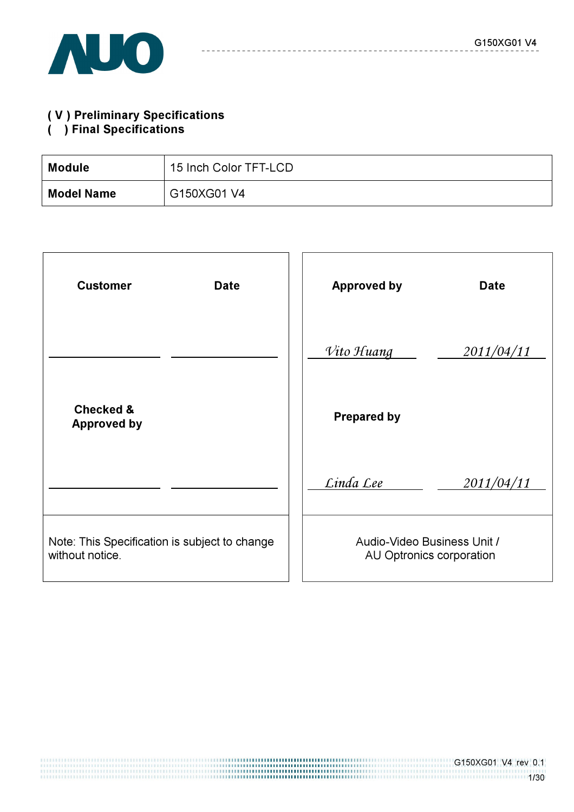

# ( V ) Preliminary Specifications ( ) Final Specifications

| <b>Module</b>     | 15 Inch Color TFT-LCD |
|-------------------|-----------------------|
| <b>Model Name</b> | G150XG01 V4           |

| <b>Customer</b><br><b>Date</b>                                   | <b>Approved by</b><br><b>Date</b>                       |
|------------------------------------------------------------------|---------------------------------------------------------|
|                                                                  | Vito Huang<br>2011/04/11                                |
| <b>Checked &amp;</b><br><b>Approved by</b>                       | <b>Prepared by</b>                                      |
|                                                                  | Linda Lee<br>2011/04/11                                 |
| Note: This Specification is subject to change<br>without notice. | Audio-Video Business Unit /<br>AU Optronics corporation |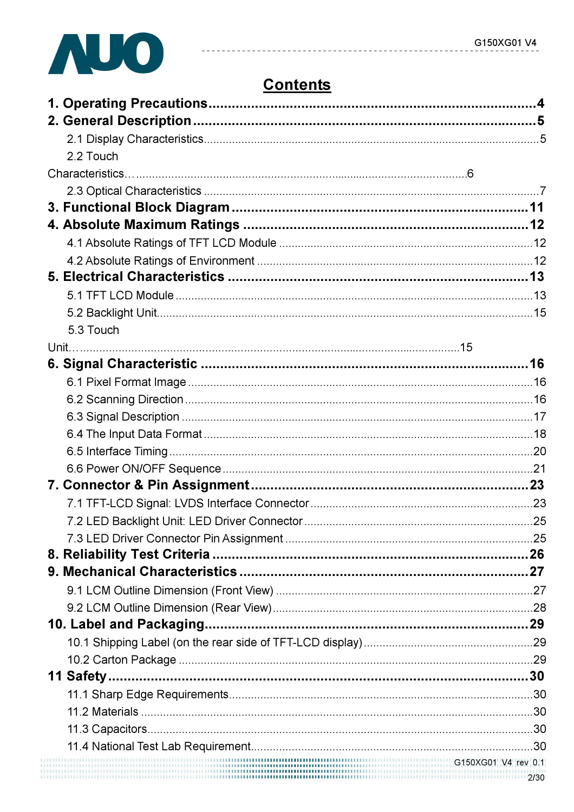

# **Contents**

----------

| 2.2 Touch |  |
|-----------|--|
|           |  |
|           |  |
|           |  |
|           |  |
|           |  |
|           |  |
|           |  |
|           |  |
|           |  |
| 5.3 Touch |  |
|           |  |
|           |  |
|           |  |
|           |  |
|           |  |
|           |  |
|           |  |
|           |  |
|           |  |
|           |  |
|           |  |
|           |  |
|           |  |
|           |  |
|           |  |
|           |  |
|           |  |
|           |  |
|           |  |
|           |  |
|           |  |
|           |  |
|           |  |
|           |  |
|           |  |
|           |  |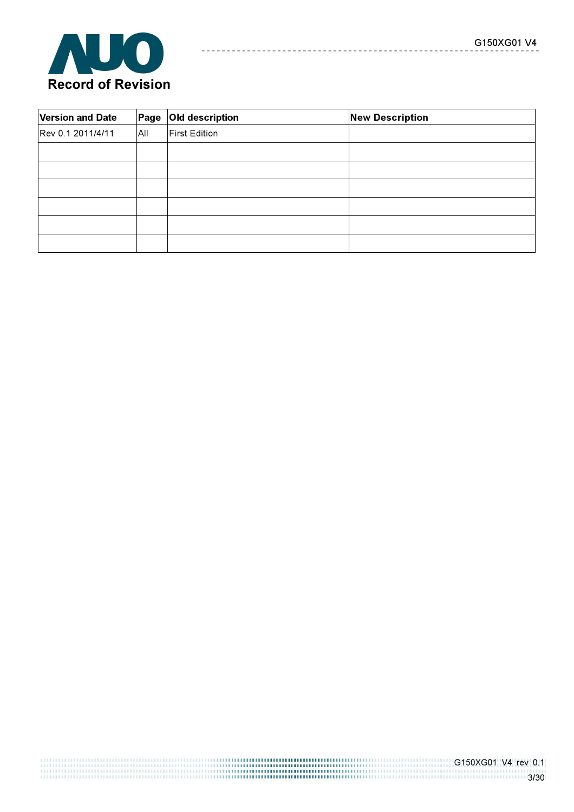

| <b>Version and Date</b> | Page | Old description      | <b>New Description</b> |
|-------------------------|------|----------------------|------------------------|
| Rev 0.1 2011/4/11       | All  | <b>First Edition</b> |                        |
|                         |      |                      |                        |
|                         |      |                      |                        |
|                         |      |                      |                        |
|                         |      |                      |                        |
|                         |      |                      |                        |
|                         |      |                      |                        |

--------------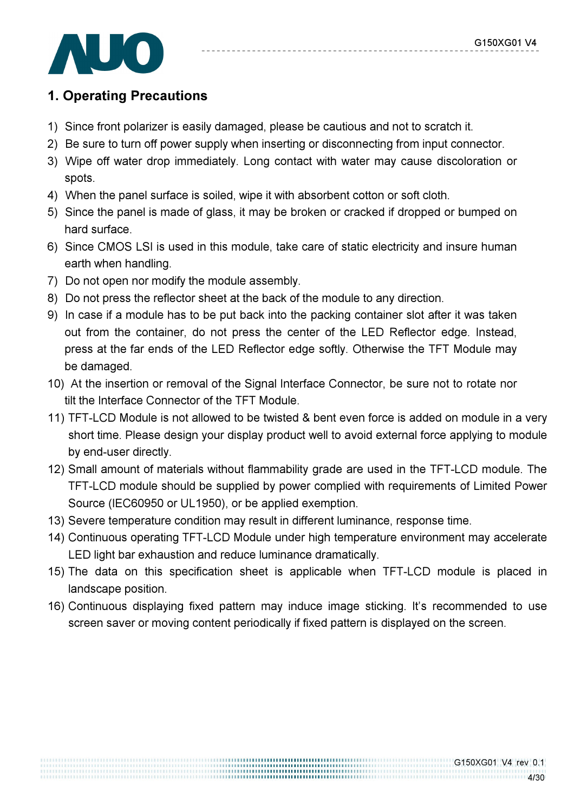

# 1. Operating Precautions

- 1) Since front polarizer is easily damaged, please be cautious and not to scratch it.
- 2) Be sure to turn off power supply when inserting or disconnecting from input connector.
- 3) Wipe off water drop immediately. Long contact with water may cause discoloration or spots.
- 4) When the panel surface is soiled, wipe it with absorbent cotton or soft cloth.
- 5) Since the panel is made of glass, it may be broken or cracked if dropped or bumped on hard surface.
- 6) Since CMOS LSI is used in this module, take care of static electricity and insure human earth when handling.
- 7) Do not open nor modify the module assembly.
- 8) Do not press the reflector sheet at the back of the module to any direction.
- 9) In case if a module has to be put back into the packing container slot after it was taken out from the container, do not press the center of the LED Reflector edge. Instead, press at the far ends of the LED Reflector edge softly. Otherwise the TFT Module may be damaged.
- 10) At the insertion or removal of the Signal Interface Connector, be sure not to rotate nor tilt the Interface Connector of the TFT Module.
- 11) TFT-LCD Module is not allowed to be twisted & bent even force is added on module in a very short time. Please design your display product well to avoid external force applying to module by end-user directly.
- 12) Small amount of materials without flammability grade are used in the TFT-LCD module. The TFT-LCD module should be supplied by power complied with requirements of Limited Power Source (IEC60950 or UL1950), or be applied exemption.
- 13) Severe temperature condition may result in different luminance, response time.
- 14) Continuous operating TFT-LCD Module under high temperature environment may accelerate LED light bar exhaustion and reduce luminance dramatically.
- 15) The data on this specification sheet is applicable when TFT-LCD module is placed in landscape position.
- 16) Continuous displaying fixed pattern may induce image sticking. It's recommended to use screen saver or moving content periodically if fixed pattern is displayed on the screen.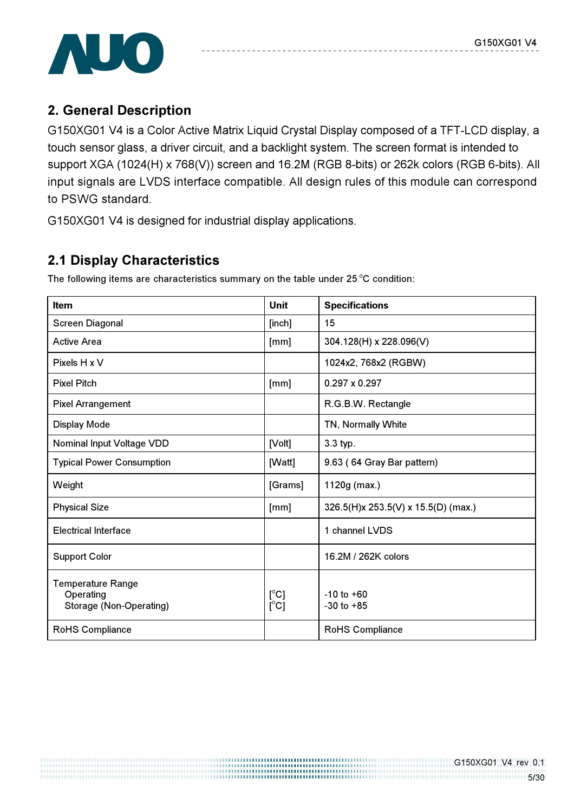

# 2. General Description

G150XG01 V4 is a Color Active Matrix Liquid Crystal Display composed of a TFT-LCD display, a touch sensor glass, a driver circuit, and a backlight system. The screen format is intended to support XGA (1024(H) x 768(V)) screen and 16.2M (RGB 8-bits) or 262k colors (RGB 6-bits). All input signals are LVDS interface compatible. All design rules of this module can correspond to PSWG standard.

G150XG01 V4 is designed for industrial display applications.

# 2.1 Display Characteristics

The following items are characteristics summary on the table under  $25^{\circ}$ C condition:

| <b>Item</b>                                                      | Unit                           | <b>Specifications</b>               |
|------------------------------------------------------------------|--------------------------------|-------------------------------------|
| Screen Diagonal                                                  | [inch]                         | 15                                  |
| <b>Active Area</b>                                               | [mm]                           | 304.128(H) x 228.096(V)             |
| Pixels H x V                                                     |                                | 1024x2, 768x2 (RGBW)                |
| <b>Pixel Pitch</b>                                               | [mm]                           | $0.297 \times 0.297$                |
| <b>Pixel Arrangement</b>                                         |                                | R.G.B.W. Rectangle                  |
| <b>Display Mode</b>                                              |                                | TN, Normally White                  |
| Nominal Input Voltage VDD                                        | [Volt]                         | 3.3 typ.                            |
| <b>Typical Power Consumption</b>                                 | [Watt]                         | 9.63 (64 Gray Bar pattern)          |
| Weight                                                           | [Grams]                        | 1120g (max.)                        |
| <b>Physical Size</b>                                             | [mm]                           | 326.5(H)x 253.5(V) x 15.5(D) (max.) |
| <b>Electrical Interface</b>                                      |                                | 1 channel LVDS                      |
| <b>Support Color</b>                                             |                                | 16.2M / 262K colors                 |
| <b>Temperature Range</b><br>Operating<br>Storage (Non-Operating) | $[^{\circ}C]$<br>$[^{\circ}C]$ | $-10$ to $+60$<br>$-30$ to $+85$    |
| RoHS Compliance                                                  |                                | RoHS Compliance                     |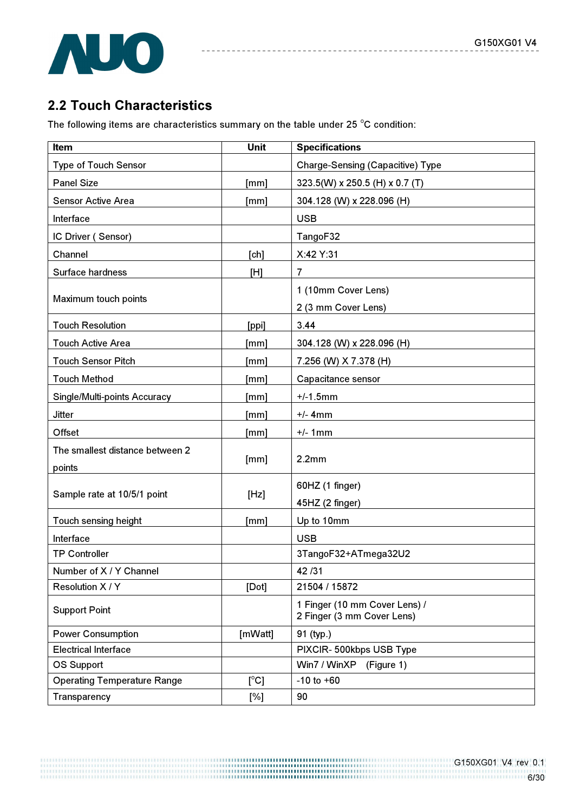

# 2.2 Touch Characteristics

The following items are characteristics summary on the table under 25  $^{\circ}$ C condition:

| Item                                      | <b>Unit</b>   | <b>Specifications</b>                                       |
|-------------------------------------------|---------------|-------------------------------------------------------------|
| <b>Type of Touch Sensor</b>               |               | <b>Charge-Sensing (Capacitive) Type</b>                     |
| <b>Panel Size</b>                         | [mm]          | 323.5(W) x 250.5 (H) x 0.7 (T)                              |
| <b>Sensor Active Area</b>                 | [mm]          | 304.128 (W) x 228.096 (H)                                   |
| Interface                                 |               | <b>USB</b>                                                  |
| IC Driver (Sensor)                        |               | TangoF32                                                    |
| Channel                                   | [ch]          | X:42 Y:31                                                   |
| Surface hardness                          | [H]           | $\overline{7}$                                              |
| Maximum touch points                      |               | 1 (10mm Cover Lens)<br>2 (3 mm Cover Lens)                  |
| <b>Touch Resolution</b>                   | [ppi]         | 3.44                                                        |
| <b>Touch Active Area</b>                  | [mm]          | 304.128 (W) x 228.096 (H)                                   |
| <b>Touch Sensor Pitch</b>                 | [mm]          | 7.256 (W) X 7.378 (H)                                       |
| <b>Touch Method</b>                       | [mm]          | Capacitance sensor                                          |
| Single/Multi-points Accuracy              | [mm]          | $+/-1.5$ mm                                                 |
| Jitter                                    | [mm]          | $+/-$ 4mm                                                   |
| Offset                                    | [mm]          | $+/-$ 1mm                                                   |
| The smallest distance between 2<br>points | [mm]          | 2.2mm                                                       |
| Sample rate at 10/5/1 point               | [Hz]          | 60HZ (1 finger)<br>45HZ (2 finger)                          |
| Touch sensing height                      | [mm]          | Up to 10mm                                                  |
| Interface                                 |               | <b>USB</b>                                                  |
| <b>TP Controller</b>                      |               | 3TangoF32+ATmega32U2                                        |
| Number of X / Y Channel                   |               | 42/31                                                       |
| Resolution X / Y                          | [Dot]         | 21504 / 15872                                               |
| <b>Support Point</b>                      |               | 1 Finger (10 mm Cover Lens) /<br>2 Finger (3 mm Cover Lens) |
| <b>Power Consumption</b>                  | [mWatt]       | 91 (typ.)                                                   |
| <b>Electrical Interface</b>               |               | PIXCIR-500kbps USB Type                                     |
| OS Support                                |               | Win7 / WinXP<br>(Figure 1)                                  |
| <b>Operating Temperature Range</b>        | $[^{\circ}C]$ | $-10$ to $+60$                                              |
| Transparency                              | $[\%]$        | 90                                                          |

,,,,,,,,,,,,,,,,,,,,,,,,,,,,,,,,,,,,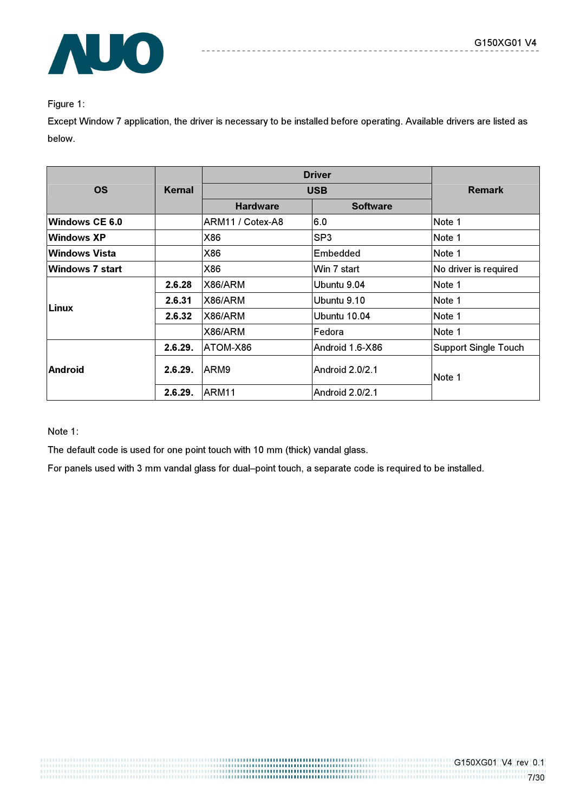

#### Figure 1:

Except Window 7 application, the driver is necessary to be installed before operating. Available drivers are listed as below.

| <b>OS</b>       | Kernal  |                  | <b>Remark</b>   |                             |  |
|-----------------|---------|------------------|-----------------|-----------------------------|--|
|                 |         | <b>Hardware</b>  | <b>Software</b> |                             |  |
| Windows CE 6.0  |         | ARM11 / Cotex-A8 | 6.0             | Note 1                      |  |
| Windows XP      |         | X86              | SP <sub>3</sub> | Note 1                      |  |
| lWindows Vista  |         | X86              | Embedded        | Note 1                      |  |
| Windows 7 start |         | X86              | Win 7 start     | No driver is required       |  |
|                 | 2.6.28  | X86/ARM          | Ubuntu 9.04     | Note 1                      |  |
|                 | 2.6.31  | X86/ARM          | Ubuntu 9.10     | Note 1                      |  |
| <b>Linux</b>    | 2.6.32  | X86/ARM          | Ubuntu 10.04    | Note 1                      |  |
|                 |         | X86/ARM          | <b>IFedora</b>  | Note 1                      |  |
|                 | 2.6.29. | ATOM-X86         | Android 1.6-X86 | <b>Support Single Touch</b> |  |
| <b>Android</b>  | 2.6.29. | ARM9             | Android 2.0/2.1 | Note 1                      |  |
|                 | 2.6.29. | ARM11            | Android 2.0/2.1 |                             |  |

Note 1:

The default code is used for one point touch with 10 mm (thick) vandal glass.

For panels used with 3 mm vandal glass for dual–point touch, a separate code is required to be installed.

,,,,,,,,,,,,,,,,,,,,,,,,,,,,,,,,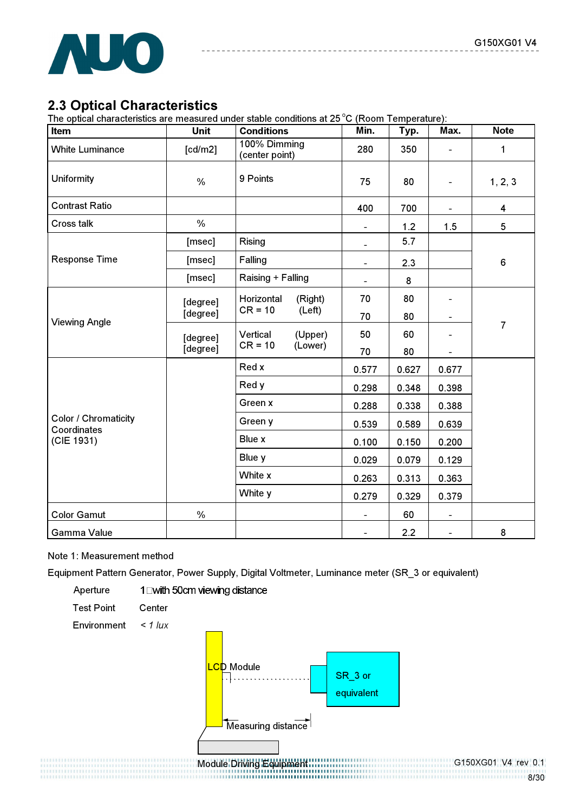

# 2.3 Optical Characteristics

The optical characteristics are measured under stable conditions at 25 °C (Room Temperature):

| Item                                       | Unit          | <b>Conditions</b> |                                | Min.           | Typ.  | Max.                     | <b>Note</b>    |
|--------------------------------------------|---------------|-------------------|--------------------------------|----------------|-------|--------------------------|----------------|
| <b>White Luminance</b>                     | [cd/m2]       |                   | 100% Dimming<br>(center point) |                | 350   | $\overline{\phantom{a}}$ | $\mathbf{1}$   |
| Uniformity                                 | $\%$          | 9 Points          |                                |                | 80    | $\blacksquare$           | 1, 2, 3        |
| <b>Contrast Ratio</b>                      |               |                   |                                | 400            | 700   | $\blacksquare$           | 4              |
| <b>Cross talk</b>                          | $\frac{0}{0}$ |                   |                                | $\blacksquare$ | 1.2   | 1.5                      | 5              |
|                                            | [msec]        | <b>Rising</b>     |                                | $\blacksquare$ | 5.7   |                          |                |
| Response Time                              | [msec]        | Falling           |                                | $\blacksquare$ | 2.3   |                          | 6              |
|                                            | [msec]        | Raising + Falling |                                | $\blacksquare$ | 8     |                          |                |
|                                            | [degree]      | Horizontal        | (Right)<br>(Left)              | 70             | 80    |                          |                |
| <b>Viewing Angle</b>                       | [degree]      | $CR = 10$         |                                | 70             | 80    |                          | $\overline{7}$ |
|                                            | [degree]      | Vertical          | (Upper)<br>(Lower)             | 50             | 60    |                          |                |
|                                            | [degree]      | $CR = 10$         |                                | 70             | 80    |                          |                |
|                                            |               | Red x             |                                | 0.577          | 0.627 | 0.677                    |                |
|                                            |               | Red y             |                                | 0.298          | 0.348 | 0.398                    |                |
|                                            |               | Green x           |                                | 0.288          | 0.338 | 0.388                    |                |
| <b>Color / Chromaticity</b><br>Coordinates |               | Green y           |                                | 0.539          | 0.589 | 0.639                    |                |
| (CIE 1931)                                 |               | Blue x            |                                |                | 0.150 | 0.200                    |                |
|                                            |               | Blue y            |                                | 0.029          | 0.079 | 0.129                    |                |
|                                            |               | White x           |                                |                | 0.313 | 0.363                    |                |
|                                            |               | White y           |                                | 0.279          | 0.329 | 0.379                    |                |
| <b>Color Gamut</b>                         | $\%$          |                   |                                | $\blacksquare$ | 60    | $\blacksquare$           |                |
| <b>Gamma Value</b>                         |               |                   |                                | $\blacksquare$ | 2.2   | $\blacksquare$           | 8              |

#### Note 1: Measurement method

Equipment Pattern Generator, Power Supply, Digital Voltmeter, Luminance meter (SR\_3 or equivalent)



G150XG01 V4 rev 0.1 8/30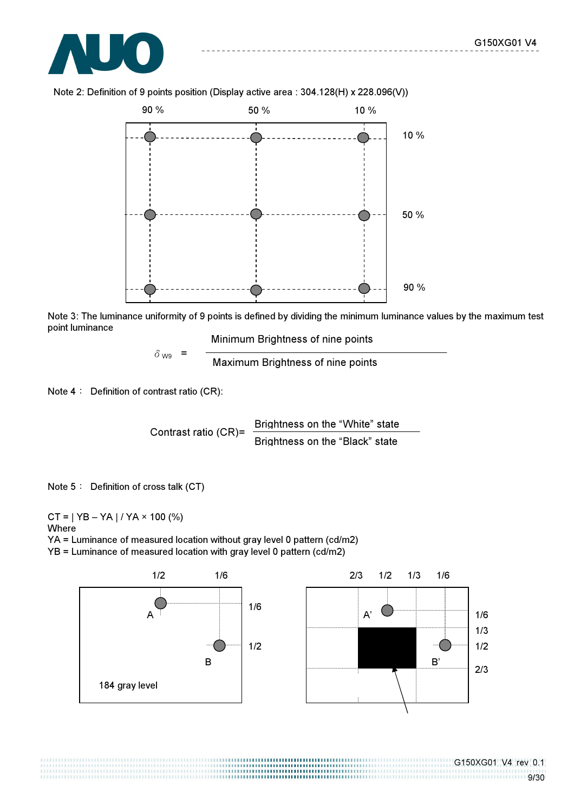



Note 2: Definition of 9 points position (Display active area : 304.128(H) x 228.096(V))

Note 3: The luminance uniformity of 9 points is defined by dividing the minimum luminance values by the maximum test point luminance

Minimum Brightness of nine points

 $\delta_{\text{W9}}$  =  $\frac{1}{\sqrt{N}}$  Maximum Brightness of nine points

Note  $4:$  Definition of contrast ratio (CR):

Contrast ratio  $(CR)$ = Brightness on the "White" state Brightness on the "Black" state

Note 5: Definition of cross talk (CT)

 $CT = | YB - YA | / YA \times 100 (%)$ Where YA = Luminance of measured location without gray level 0 pattern (cd/m2)

YB = Luminance of measured location with gray level 0 pattern (cd/m2)

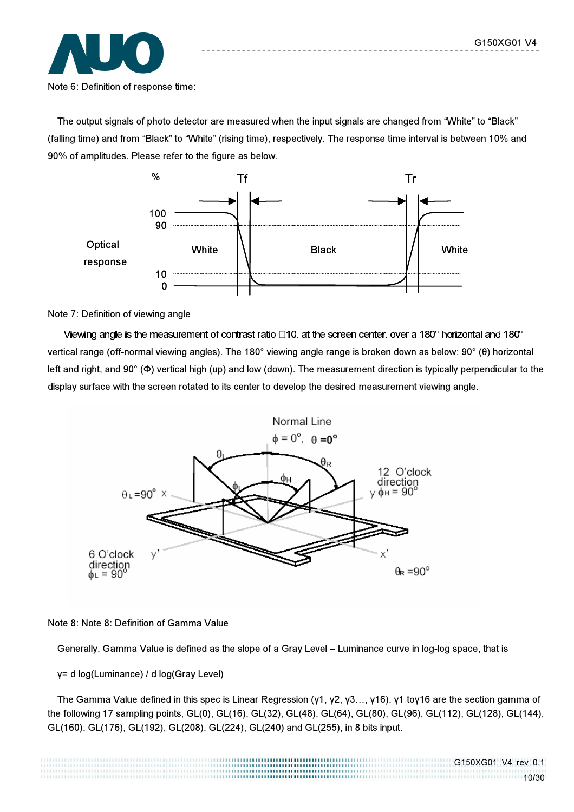

The output signals of photo detector are measured when the input signals are changed from "White" to "Black" (falling time) and from "Black" to "White" (rising time), respectively. The response time interval is between 10% and 90% of amplitudes. Please refer to the figure as below.



#### Note 7: Definition of viewing angle

Viewing angle is the measurement of contrast ratio  $\Box$ 10, at the screen center, over a 180 $^{\circ}$  horizontal and 180 $^{\circ}$ vertical range (off-normal viewing angles). The 180° viewing angle range is broken down as below: 90° (θ) horizontal left and right, and 90° (Φ) vertical high (up) and low (down). The measurement direction is typically perpendicular to the display surface with the screen rotated to its center to develop the desired measurement viewing angle.



#### Note 8: Note 8: Definition of Gamma Value

Generally, Gamma Value is defined as the slope of a Gray Level – Luminance curve in log-log space, that is

γ= d log(Luminance) / d log(Gray Level)

 The Gamma Value defined in this spec is Linear Regression (γ1, γ2, γ3…, γ16). γ1 toγ16 are the section gamma of the following 17 sampling points, GL(0), GL(16), GL(32), GL(48), GL(64), GL(80), GL(96), GL(112), GL(128), GL(144), GL(160), GL(176), GL(192), GL(208), GL(224), GL(240) and GL(255), in 8 bits input.

............................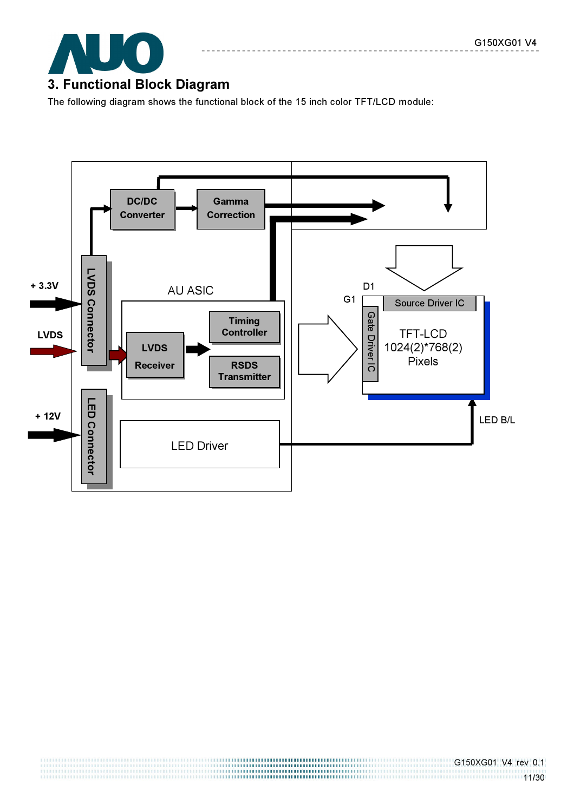

The following diagram shows the functional block of the 15 inch color TFT/LCD module:

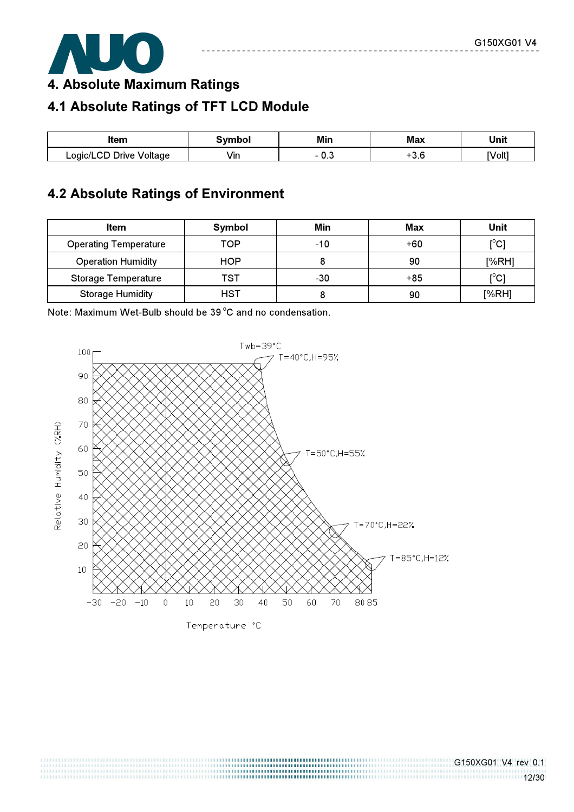

4. Absolute Maximum Ratings

# 4.1 Absolute Ratings of TFT LCD Module

| ltem                                   | Svmbol   | Min   | Max         | Unit   |  |
|----------------------------------------|----------|-------|-------------|--------|--|
| $\cap$<br>Drive<br>_ogic/L'<br>Voltage | -<br>Vın | - U.J | $\cdot$ J.U | [Volt] |  |

# 4.2 Absolute Ratings of Environment

| <b>Item</b>                  | Symbol     | Min   | Max   | Unit                                    |
|------------------------------|------------|-------|-------|-----------------------------------------|
| <b>Operating Temperature</b> | TOP        | $-10$ | $+60$ | $\mathsf{I}^\circ\mathsf{C}$            |
| <b>Operation Humidity</b>    | <b>HOP</b> |       | 90    | [%RH]                                   |
| <b>Storage Temperature</b>   | TST        | $-30$ | $+85$ | $\mathsf{I}^\circ\mathsf{C} \mathsf{I}$ |
| <b>Storage Humidity</b>      | HST        |       | 90    | [%RH]                                   |

Note: Maximum Wet-Bulb should be 39 °C and no condensation.



Temperature °C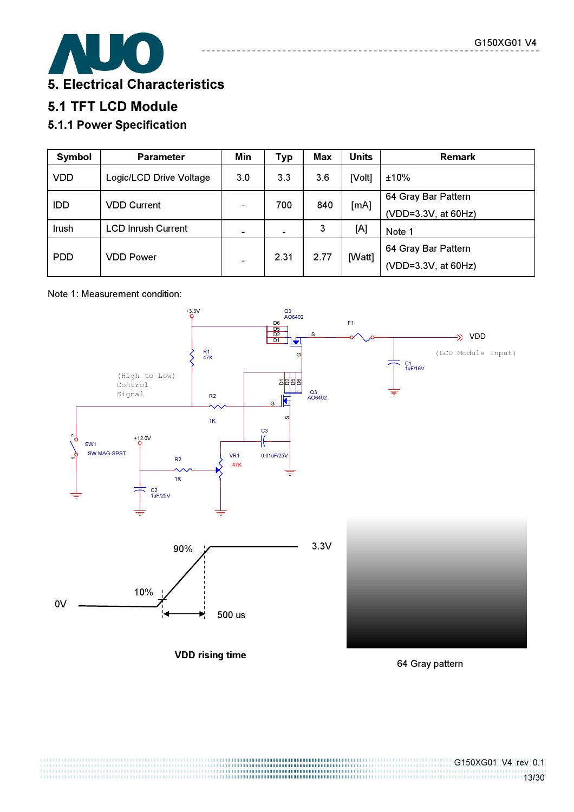

# 5.1 TFT LCD Module

# 5.1.1 Power Specification

| Symbol     | <b>Parameter</b>          | Min | <b>Typ</b>    | Max  | <b>Units</b> | <b>Remark</b>       |
|------------|---------------------------|-----|---------------|------|--------------|---------------------|
| <b>VDD</b> | Logic/LCD Drive Voltage   | 3.0 | 3.3           | 3.6  | [Volt]       | ±10%                |
| <b>IDD</b> | <b>VDD Current</b>        |     | 700           | 840  |              | 64 Gray Bar Pattern |
|            |                           | -   |               |      | [mA]         | (VDD=3.3V, at 60Hz) |
| Irush      | <b>LCD Inrush Current</b> |     | $\frac{1}{2}$ | 3    | [A]          | Note 1              |
|            | <b>VDD Power</b>          |     | 2.31          |      |              | 64 Gray Bar Pattern |
| <b>PDD</b> |                           |     |               | 2.77 | [Watt]       | (VDD=3.3V, at 60Hz) |

#### Note 1: Measurement condition:



64 Gray pattern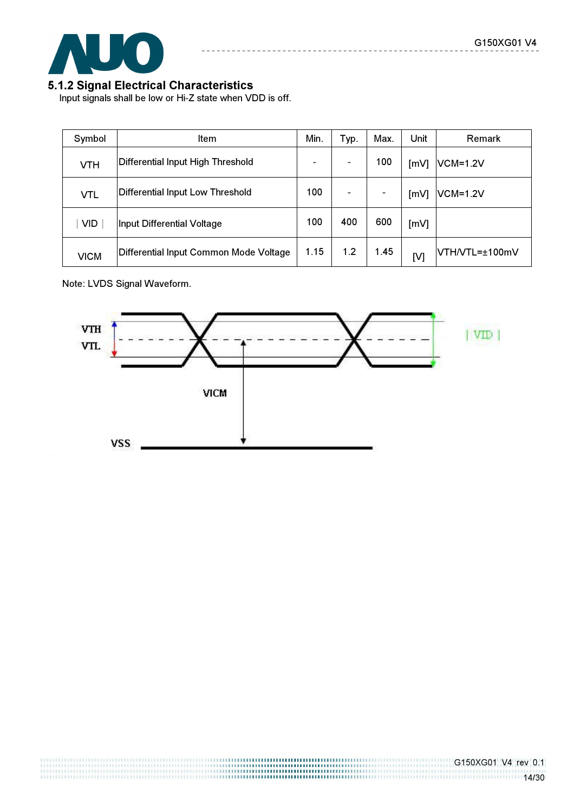

#### 5.1.2 Signal Electrical Characteristics

Input signals shall be low or Hi-Z state when VDD is off.

|             | Symbol                                                                                            | <b>Item</b>                            |                              | Typ. | Max.                     | Unit | <b>Remark</b>   |
|-------------|---------------------------------------------------------------------------------------------------|----------------------------------------|------------------------------|------|--------------------------|------|-----------------|
|             | <b>VTH</b>                                                                                        | Differential Input High Threshold      | $\qquad \qquad \blacksquare$ |      | 100                      | [mV] | <b>VCM=1.2V</b> |
|             | <b>Differential Input Low Threshold</b><br><b>VTL</b><br><b>VID</b><br>Input Differential Voltage |                                        | 100                          |      | $\overline{\phantom{a}}$ | [mV] | <b>VCM=1.2V</b> |
|             |                                                                                                   |                                        | 100                          | 400  | 600                      | [mV] |                 |
| <b>VICM</b> |                                                                                                   | Differential Input Common Mode Voltage | 1.15                         | 1.2  | 1.45                     | [V]  | VTH/VTL=±100mV  |

\_\_\_\_\_\_\_\_\_\_\_

Note: LVDS Signal Waveform.

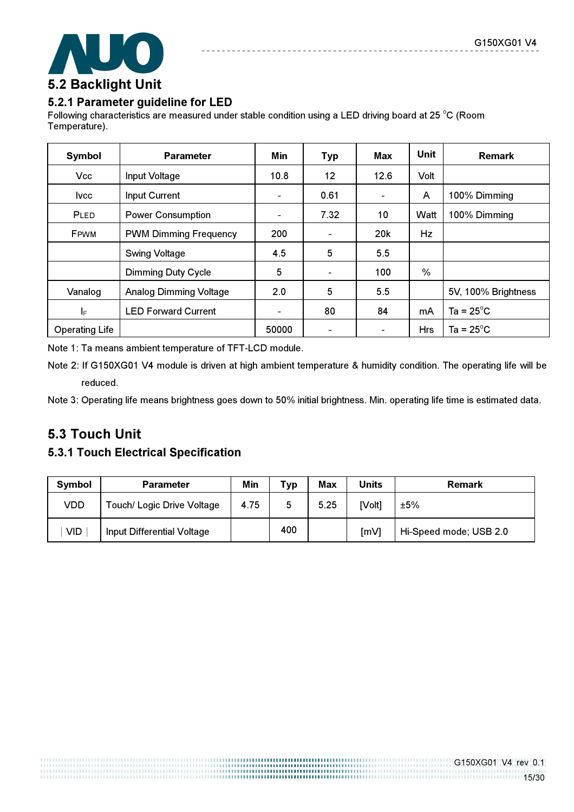

#### 5.2.1 Parameter guideline for LED

Following characteristics are measured under stable condition using a LED driving board at 25 °C (Room Temperature).

| Symbol                | <b>Parameter</b>              | Min                      | <b>Typ</b>               | Max                      | <b>Unit</b> | <b>Remark</b>       |
|-----------------------|-------------------------------|--------------------------|--------------------------|--------------------------|-------------|---------------------|
| <b>Vcc</b>            | Input Voltage                 | 10.8                     | 12                       | 12.6                     | Volt        |                     |
| lvcc.                 | Input Current                 | $\overline{\phantom{a}}$ | 0.61                     | $\overline{\phantom{0}}$ | A           | 100% Dimming        |
| PLED                  | <b>Power Consumption</b>      | $\overline{\phantom{a}}$ | 7.32                     | 10                       | Watt        | 100% Dimming        |
| <b>FPWM</b>           | <b>PWM Dimming Frequency</b>  | 200                      | $\overline{\phantom{a}}$ | 20k                      | Hz          |                     |
|                       | <b>Swing Voltage</b>          | 4.5                      | 5                        | 5.5                      |             |                     |
|                       | <b>Dimming Duty Cycle</b>     | 5                        | $\overline{\phantom{a}}$ | 100                      | %           |                     |
| Vanalog               | <b>Analog Dimming Voltage</b> | 2.0                      | 5                        | 5.5                      |             | 5V, 100% Brightness |
| $I_{\mathsf{F}}$      | <b>LED Forward Current</b>    | $\,$ $\,$                | 80                       | 84                       | mA          | Ta = $25^{\circ}$ C |
| <b>Operating Life</b> |                               | 50000                    | $\overline{\phantom{a}}$ | $\overline{\phantom{a}}$ | <b>Hrs</b>  | Ta = $25^{\circ}$ C |

Note 1: Ta means ambient temperature of TFT-LCD module.

Note 2: If G150XG01 V4 module is driven at high ambient temperature & humidity condition. The operating life will be reduced.

Note 3: Operating life means brightness goes down to 50% initial brightness. Min. operating life time is estimated data.

# 5.3 Touch Unit

#### 5.3.1 Touch Electrical Specification

| Symbol     | <b>Parameter</b>           | Min  | <b>Typ</b> | <b>Max</b> | Units  | <b>Remark</b>          |
|------------|----------------------------|------|------------|------------|--------|------------------------|
| VDD        | Touch/ Logic Drive Voltage | 4.75 | 5          | 5.25       | [Volt] | ±5%                    |
| <b>VID</b> | Input Differential Voltage |      | 400        |            | [mV]   | Hi-Speed mode; USB 2.0 |

,,,,,,,,,,,,,,,,,,,,,,,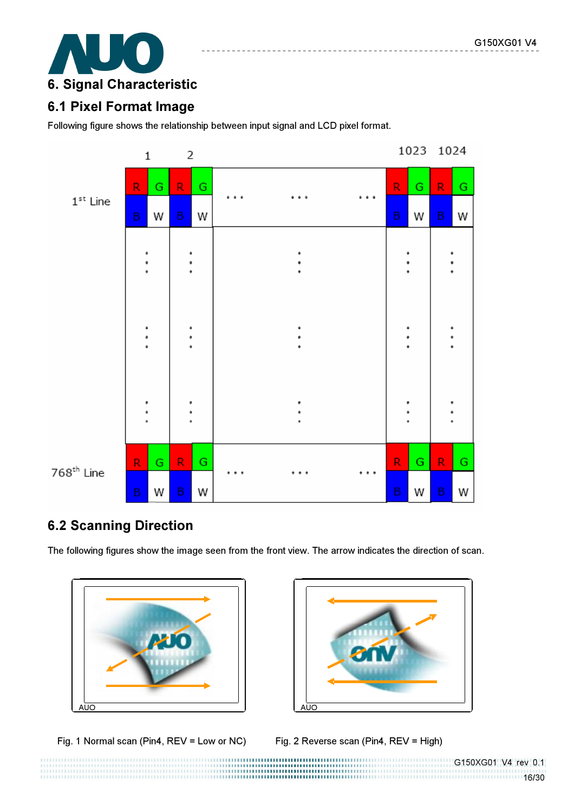

# 6.1 Pixel Format Image

Following figure shows the relationship between input signal and LCD pixel format.



# 6.2 Scanning Direction

The following figures show the image seen from the front view. The arrow indicates the direction of scan.



Fig. 1 Normal scan (Pin4, REV = Low or NC) Fig. 2 Reverse scan (Pin4, REV = High)



--------------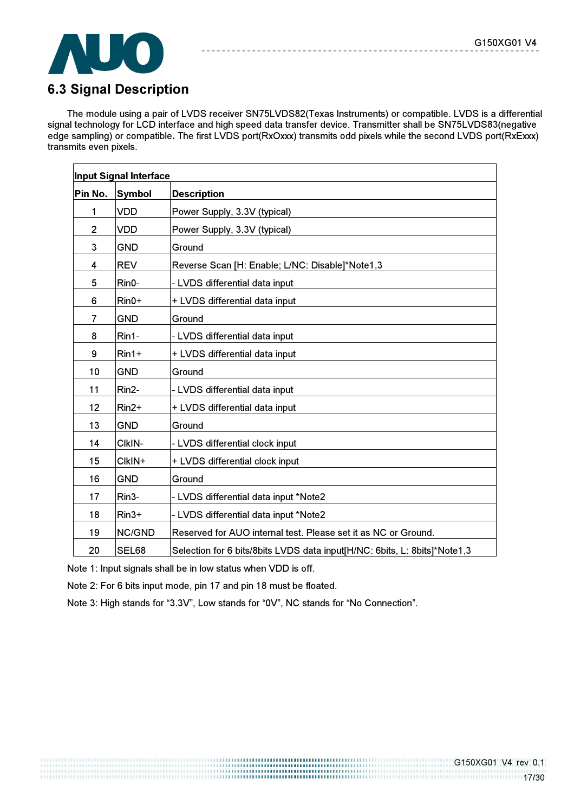

# 6.3 Signal Description

The module using a pair of LVDS receiver SN75LVDS82(Texas Instruments) or compatible. LVDS is a differential signal technology for LCD interface and high speed data transfer device. Transmitter shall be SN75LVDS83(negative edge sampling) or compatible. The first LVDS port(RxOxxx) transmits odd pixels while the second LVDS port(RxExxx) transmits even pixels.

|                | <b>Input Signal Interface</b> |                                                                           |
|----------------|-------------------------------|---------------------------------------------------------------------------|
| Pin No.        | <b>Symbol</b>                 | <b>Description</b>                                                        |
| 1              | <b>VDD</b>                    | Power Supply, 3.3V (typical)                                              |
| $\overline{2}$ | <b>VDD</b>                    | Power Supply, 3.3V (typical)                                              |
| 3              | <b>GND</b>                    | Ground                                                                    |
| 4              | <b>REV</b>                    | Reverse Scan [H: Enable; L/NC: Disable]*Note1,3                           |
| 5              | $Rin0-$                       | - LVDS differential data input                                            |
| 6              | $Rin0+$                       | + LVDS differential data input                                            |
| 7              | <b>GND</b>                    | Ground                                                                    |
| 8              | Rin1-                         | - LVDS differential data input                                            |
| 9              | $Rin1+$                       | + LVDS differential data input                                            |
| 10             | <b>GND</b>                    | Ground                                                                    |
| 11             | Rin2-                         | - LVDS differential data input                                            |
| 12             | $Rin2+$                       | + LVDS differential data input                                            |
| 13             | <b>GND</b>                    | Ground                                                                    |
| 14             | CIkIN-                        | - LVDS differential clock input                                           |
| 15             | CIkIN+                        | + LVDS differential clock input                                           |
| 16             | <b>GND</b>                    | Ground                                                                    |
| 17             | Rin <sub>3</sub> -            | - LVDS differential data input *Note2                                     |
| 18             | $Rin3+$                       | - LVDS differential data input *Note2                                     |
| 19             | NC/GND                        | Reserved for AUO internal test. Please set it as NC or Ground.            |
| 20             | SEL68                         | Selection for 6 bits/8bits LVDS data input[H/NC: 6bits, L: 8bits]*Note1,3 |

Note 1: Input signals shall be in low status when VDD is off.

Note 2: For 6 bits input mode, pin 17 and pin 18 must be floated.

Note 3: High stands for "3.3V", Low stands for "0V", NC stands for "No Connection".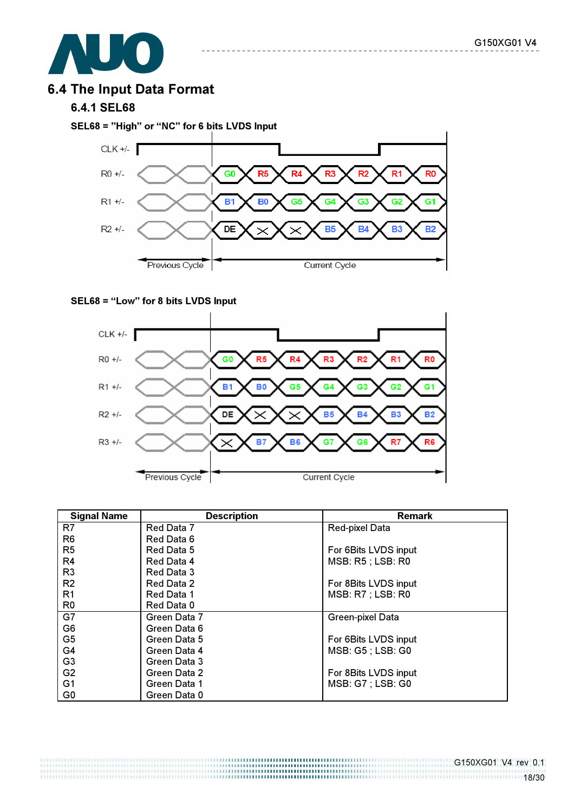

# 6.4 The Input Data Format

#### 6.4.1 SEL68

SEL68 = "High" or "NC" for 6 bits LVDS Input



#### SEL68 = "Low" for 8 bits LVDS Input



| <b>Signal Name</b> | <b>Description</b> | <b>Remark</b>            |
|--------------------|--------------------|--------------------------|
| R7                 | Red Data 7         | <b>Red-pixel Data</b>    |
| R <sub>6</sub>     | Red Data 6         |                          |
| R <sub>5</sub>     | Red Data 5         | For 6Bits LVDS input     |
| R4                 | Red Data 4         | <b>MSB: R5 ; LSB: R0</b> |
| R <sub>3</sub>     | Red Data 3         |                          |
| R <sub>2</sub>     | Red Data 2         | For 8Bits LVDS input     |
| R <sub>1</sub>     | Red Data 1         | <b>MSB: R7 ; LSB: R0</b> |
| R0                 | Red Data 0         |                          |
| G7                 | Green Data 7       | Green-pixel Data         |
| G <sub>6</sub>     | Green Data 6       |                          |
| G <sub>5</sub>     | Green Data 5       | For 6Bits LVDS input     |
| G4                 | Green Data 4       | MSB: G5 ; LSB: G0        |
| G <sub>3</sub>     | Green Data 3       |                          |
| G <sub>2</sub>     | Green Data 2       | For 8Bits LVDS input     |
| G <sub>1</sub>     | Green Data 1       | <b>MSB: G7 ; LSB: G0</b> |
| G <sub>0</sub>     | Green Data 0       |                          |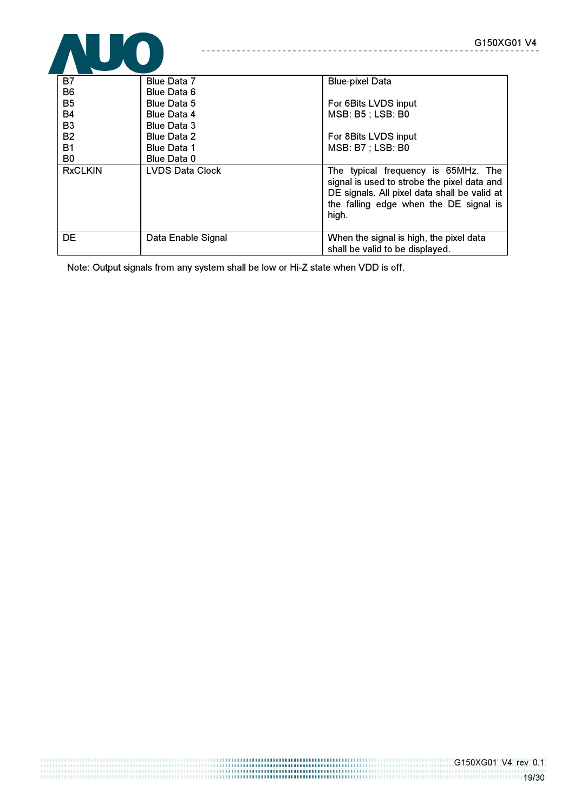

| B7             | Blue Data 7            | <b>Blue-pixel Data</b>                                                                                                                                                                |
|----------------|------------------------|---------------------------------------------------------------------------------------------------------------------------------------------------------------------------------------|
| B <sub>6</sub> | Blue Data 6            |                                                                                                                                                                                       |
| <b>B5</b>      | <b>Blue Data 5</b>     | For 6Bits LVDS input                                                                                                                                                                  |
| B4             | <b>Blue Data 4</b>     | <b>MSB: B5 ; LSB: B0</b>                                                                                                                                                              |
| B <sub>3</sub> | <b>Blue Data 3</b>     |                                                                                                                                                                                       |
| <b>B2</b>      | <b>Blue Data 2</b>     | For 8Bits LVDS input                                                                                                                                                                  |
| <b>B1</b>      | <b>Blue Data 1</b>     | <b>MSB: B7 ; LSB: B0</b>                                                                                                                                                              |
| B <sub>0</sub> | Blue Data 0            |                                                                                                                                                                                       |
| <b>RxCLKIN</b> | <b>LVDS Data Clock</b> | The typical frequency is 65MHz. The<br>signal is used to strobe the pixel data and<br>DE signals. All pixel data shall be valid at<br>the falling edge when the DE signal is<br>high. |
| <b>DE</b>      | Data Enable Signal     | When the signal is high, the pixel data<br>shall be valid to be displayed.                                                                                                            |

Note: Output signals from any system shall be low or Hi-Z state when VDD is off.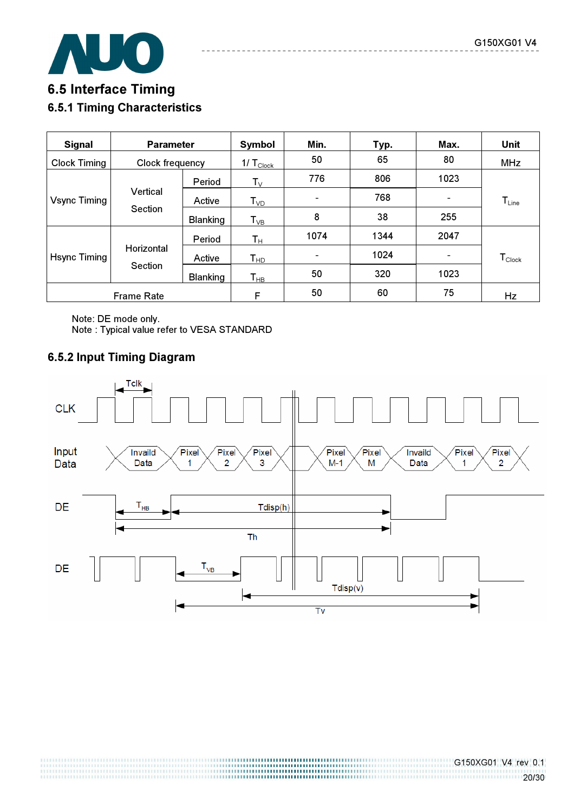

# 6.5 Interface Timing 6.5.1 Timing Characteristics

| <b>Signal</b>                       | <b>Parameter</b>      |                 | Symbol                                 | Min. | Typ. | Max. | <b>Unit</b>        |
|-------------------------------------|-----------------------|-----------------|----------------------------------------|------|------|------|--------------------|
| <b>Clock Timing</b>                 | Clock frequency       |                 | 1/ $\mathsf{T}_{\text{\small{Clock}}}$ | 50   | 65   | 80   | <b>MHz</b>         |
| Vertical<br>Vsync Timing<br>Section |                       | Period          | $\mathsf{T}_\mathsf{V}$                | 776  | 806  | 1023 |                    |
|                                     |                       | Active          | $T_{VD}$                               |      | 768  |      | $T_{Line}$         |
|                                     |                       | <b>Blanking</b> | $T_{VB}$                               | 8    | 38   | 255  |                    |
| Hsync Timing                        |                       | Period          | $\mathsf{T}_\mathsf{H}$                | 1074 | 1344 | 2047 |                    |
|                                     | Horizontal<br>Section | Active          | T <sub>HD</sub>                        | -    | 1024 |      | $T_{\text{Clock}}$ |
|                                     |                       | <b>Blanking</b> | $\mathsf{T}_{\mathsf{HB}}$             | 50   | 320  | 1023 |                    |
| <b>Frame Rate</b>                   |                       | F               | 50                                     | 60   | 75   | Hz   |                    |

Note: DE mode only. Note : Typical value refer to VESA STANDARD

# 6.5.2 Input Timing Diagram



1999 - 1999 - 1999 - 1999 - 1999 - 1999 - 1999 - 1999 - 1999 - 1999 - 1999 - 1999 - 1999 - 1999 - 1999 - 1999<br>1999 - 1999 - 1999 - 1999 - 1999 - 1999 - 1999 - 1999 - 1999 - 1999 - 1999 - 1999 - 1999 - 1999 - 1999 - 1999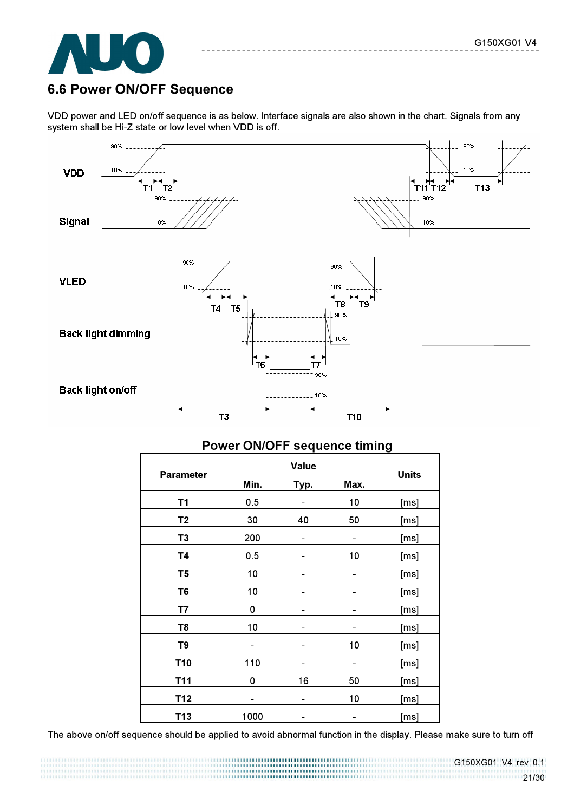

# 6.6 Power ON/OFF Sequence

VDD power and LED on/off sequence is as below. Interface signals are also shown in the chart. Signals from any system shall be Hi-Z state or low level when VDD is off.



|                  |                      |                          |    | <u>.</u>     |  |
|------------------|----------------------|--------------------------|----|--------------|--|
|                  |                      |                          |    |              |  |
| <b>Parameter</b> | Min.<br>Typ.<br>Max. |                          |    | <b>Units</b> |  |
| T1               | 0.5                  | $\overline{\phantom{0}}$ | 10 | [ms]         |  |
| T <sub>2</sub>   | 30                   | 40                       | 50 | [ms]         |  |
| T <sub>3</sub>   | 200                  | -                        | -  | [ms]         |  |
| <b>T4</b>        | 0.5                  |                          | 10 | [ms]         |  |
| T <sub>5</sub>   | 10                   |                          |    | [ms]         |  |
| T <sub>6</sub>   | 10                   |                          |    | [ms]         |  |
| T7               | 0                    |                          |    | [ms]         |  |
| T <sub>8</sub>   | 10                   |                          |    | [ms]         |  |
| T9               |                      |                          | 10 | [ms]         |  |
| <b>T10</b>       | 110                  |                          |    | [ms]         |  |
| T11              | 0                    | 16                       | 50 | [ms]         |  |
| T12              |                      | -                        | 10 | [ms]         |  |
| T13              | 1000                 |                          |    | [ms]         |  |

#### Power ON/OFF sequence timing

The above on/off sequence should be applied to avoid abnormal function in the display. Please make sure to turn off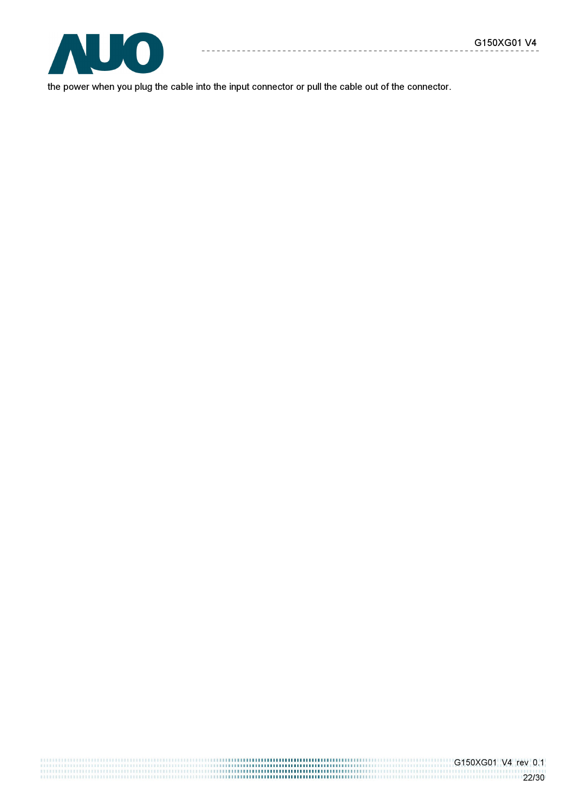

the power when you plug the cable into the input connector or pull the cable out of the connector.

 $- - - - - - - - -$ 

 $\sim$   $\sim$ 

G150XG01 V4 rev 0.1 22/30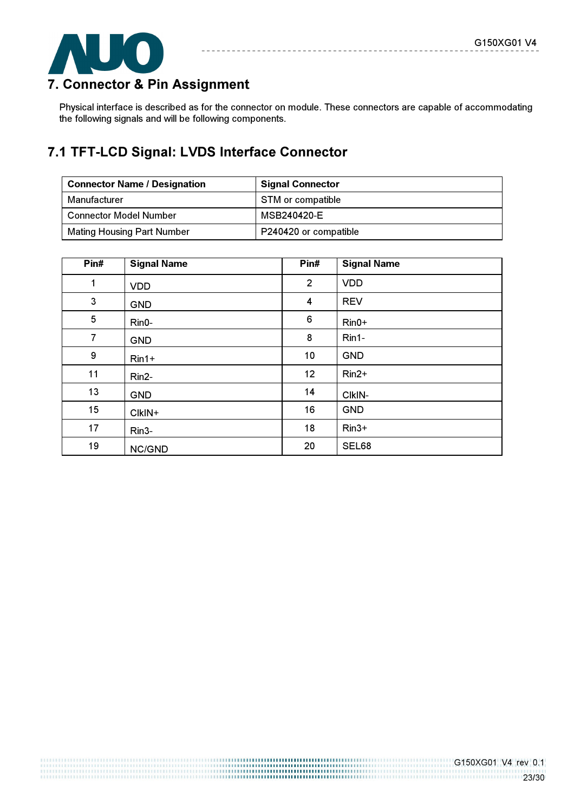

# 7. Connector & Pin Assignment

Physical interface is described as for the connector on module. These connectors are capable of accommodating the following signals and will be following components.

# 7.1 TFT-LCD Signal: LVDS Interface Connector

| <b>Connector Name / Designation</b> | <b>Signal Connector</b> |
|-------------------------------------|-------------------------|
| Manufacturer                        | STM or compatible       |
| <b>Connector Model Number</b>       | MSB240420-E             |
| <b>Mating Housing Part Number</b>   | P240420 or compatible   |

| Pin#         | <b>Signal Name</b> | Pin#           | <b>Signal Name</b> |
|--------------|--------------------|----------------|--------------------|
| $\mathbf{1}$ | <b>VDD</b>         | $\overline{2}$ | <b>VDD</b>         |
| 3            | <b>GND</b>         | 4              | <b>REV</b>         |
| 5            | Rin0-              | 6              | $Rin0+$            |
| 7            | <b>GND</b>         | 8              | Rin1-              |
| 9            | $Rin1+$            | 10             | <b>GND</b>         |
| 11           | Rin2-              | 12             | $Rin2+$            |
| 13           | <b>GND</b>         | 14             | CIkIN-             |
| 15           | CIkIN+             | 16             | <b>GND</b>         |
| 17           | Rin <sub>3</sub> - | 18             | $Rin3+$            |
| 19           | NC/GND             | 20             | SEL68              |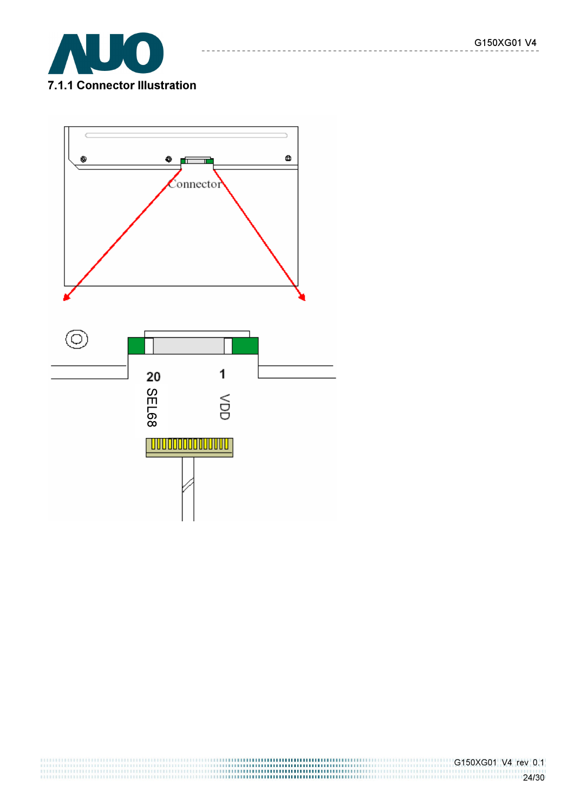

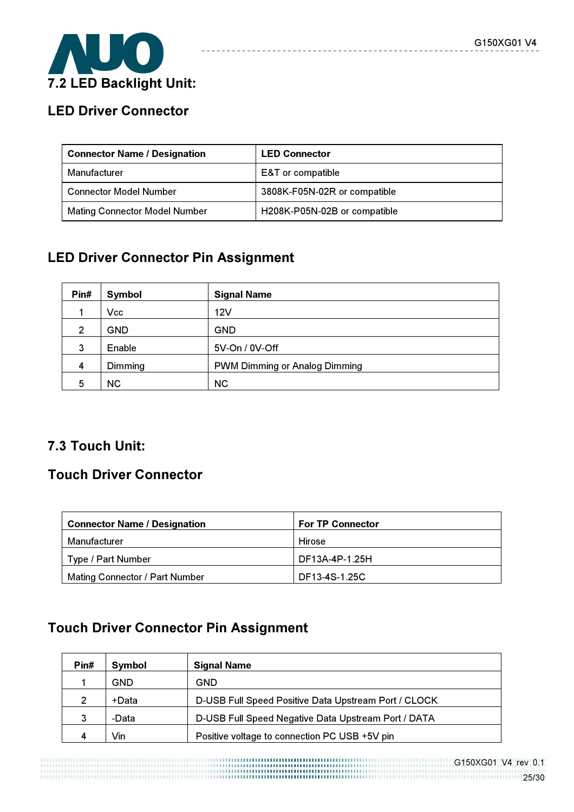

# LED Driver Connector

| <b>Connector Name / Designation</b>  | <b>LED Connector</b>         |
|--------------------------------------|------------------------------|
| Manufacturer                         | E&T or compatible            |
| <b>Connector Model Number</b>        | 3808K-F05N-02R or compatible |
| <b>Mating Connector Model Number</b> | H208K-P05N-02B or compatible |

-----------------------

# LED Driver Connector Pin Assignment

| Pin#           | Symbol     | <b>Signal Name</b>                   |
|----------------|------------|--------------------------------------|
|                | Vcc        | 12V                                  |
| $\overline{2}$ | <b>GND</b> | <b>GND</b>                           |
| 3              | Enable     | 5V-On / 0V-Off                       |
| 4              | Dimming    | <b>PWM Dimming or Analog Dimming</b> |
| 5              | <b>NC</b>  | <b>NC</b>                            |

# 7.3 Touch Unit:

# Touch Driver Connector

| <b>Connector Name / Designation</b>   | <b>For TP Connector</b> |
|---------------------------------------|-------------------------|
| Manufacturer                          | Hirose                  |
| Type / Part Number                    | DF13A-4P-1.25H          |
| <b>Mating Connector / Part Number</b> | DF13-4S-1.25C           |

# Touch Driver Connector Pin Assignment

| Pin#          | <b>Symbol</b> | <b>Signal Name</b>                                   |
|---------------|---------------|------------------------------------------------------|
|               | GND           | GND                                                  |
| $\mathcal{P}$ | +Data         | D-USB Full Speed Positive Data Upstream Port / CLOCK |
| 3             | -Data         | D-USB Full Speed Negative Data Upstream Port / DATA  |
| 4             | Vin           | Positive voltage to connection PC USB +5V pin        |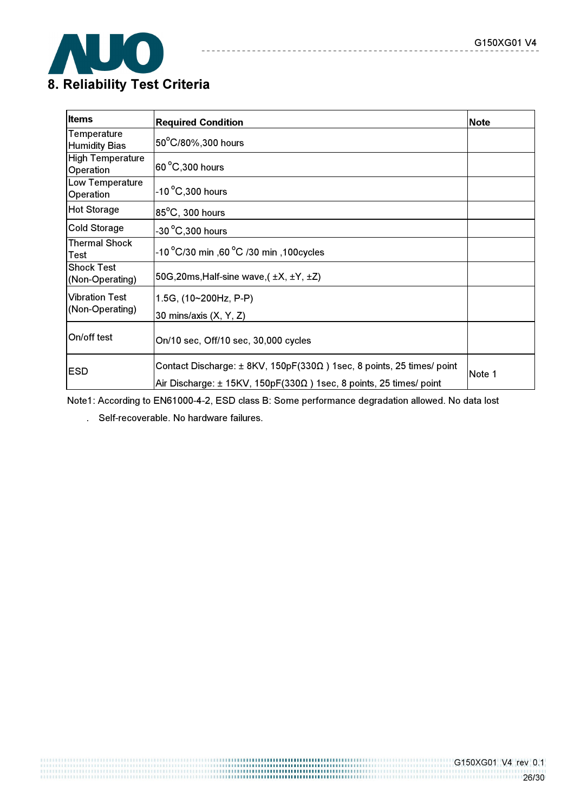

| <b>Items</b>                               | <b>Required Condition</b>                                                                                                                                             | <b>Note</b> |
|--------------------------------------------|-----------------------------------------------------------------------------------------------------------------------------------------------------------------------|-------------|
| <b>Temperature</b><br><b>Humidity Bias</b> | 50°C/80%,300 hours                                                                                                                                                    |             |
| <b>High Temperature</b><br>Operation       | $ 60\,^{\circ}\text{C},300\text{ hours} $                                                                                                                             |             |
| Low Temperature<br>Operation               | $-10\,^{\circ}$ C,300 hours                                                                                                                                           |             |
| <b>Hot Storage</b>                         | 85°C, 300 hours                                                                                                                                                       |             |
| <b>Cold Storage</b>                        | $-30\,^{\circ}$ C,300 hours                                                                                                                                           |             |
| <b>Thermal Shock</b><br>Test               | -10 $^{\circ}$ C/30 min ,60 $^{\circ}$ C /30 min ,100cycles                                                                                                           |             |
| <b>Shock Test</b><br>(Non-Operating)       | 50G, 20ms, Half-sine wave, $(\pm X, \pm Y, \pm Z)$                                                                                                                    |             |
| <b>Vibration Test</b><br>(Non-Operating)   | 1.5G, (10~200Hz, P-P)<br>30 mins/axis (X, Y, Z)                                                                                                                       |             |
| On/off test                                | On/10 sec, Off/10 sec, 30,000 cycles                                                                                                                                  |             |
| <b>ESD</b>                                 | Contact Discharge: $\pm$ 8KV, 150pF(330 $\Omega$ ) 1sec, 8 points, 25 times/ point<br>Air Discharge: $\pm$ 15KV, 150pF(330 $\Omega$ ) 1sec, 8 points, 25 times/ point | Note 1      |

 $\frac{1}{2}$ 

--------------

 $\sim$   $\sim$   $\sim$ 

Note1: According to EN61000-4-2, ESD class B: Some performance degradation allowed. No data lost

. Self-recoverable. No hardware failures.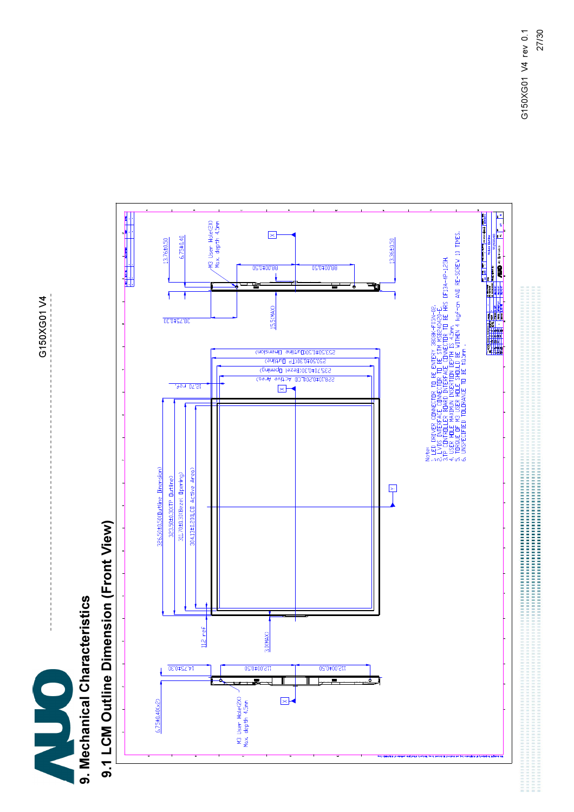G150XG01 V4 G150XG01 V4



# 9.1 LCM Outline Dimension (Front View) 9.1 LCM Outline Dimension (Front View)

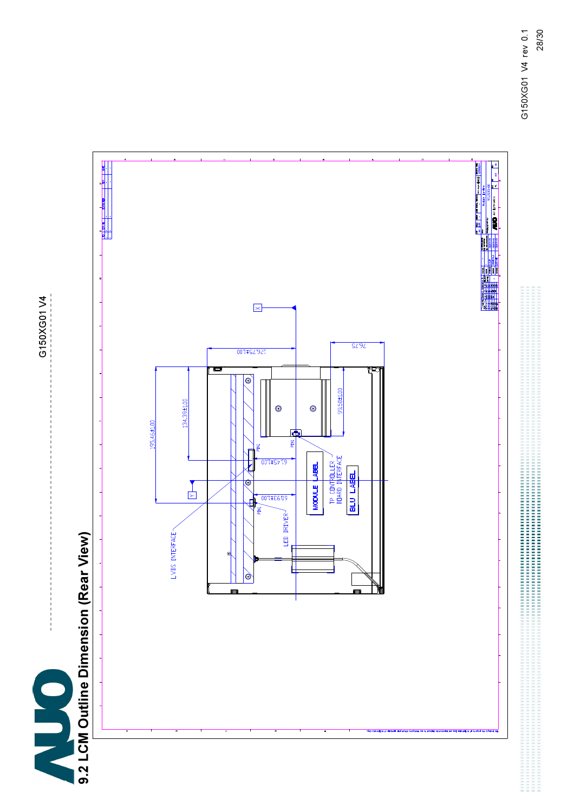9.2 LCM Outline Dimension (Rear View)

G150XG01 V4 G150XG01 V4

# 9.2 LCM Outline Dimension (Rear View)

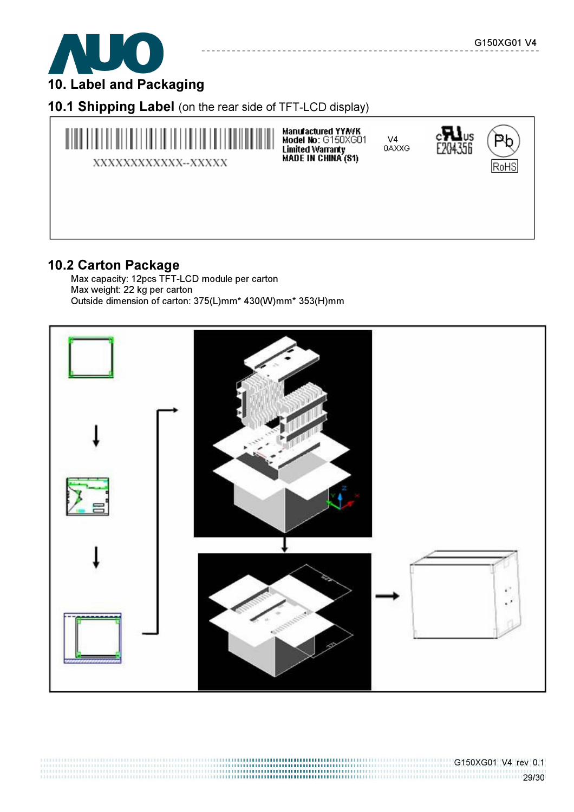

10.1 Shipping Label (on the rear side of TFT-LCD display)



# 10.2 Carton Package

Max capacity: 12pcs TFT-LCD module per carton Max weight: 22 kg per carton Outside dimension of carton: 375(L)mm\* 430(W)mm\* 353(H)mm